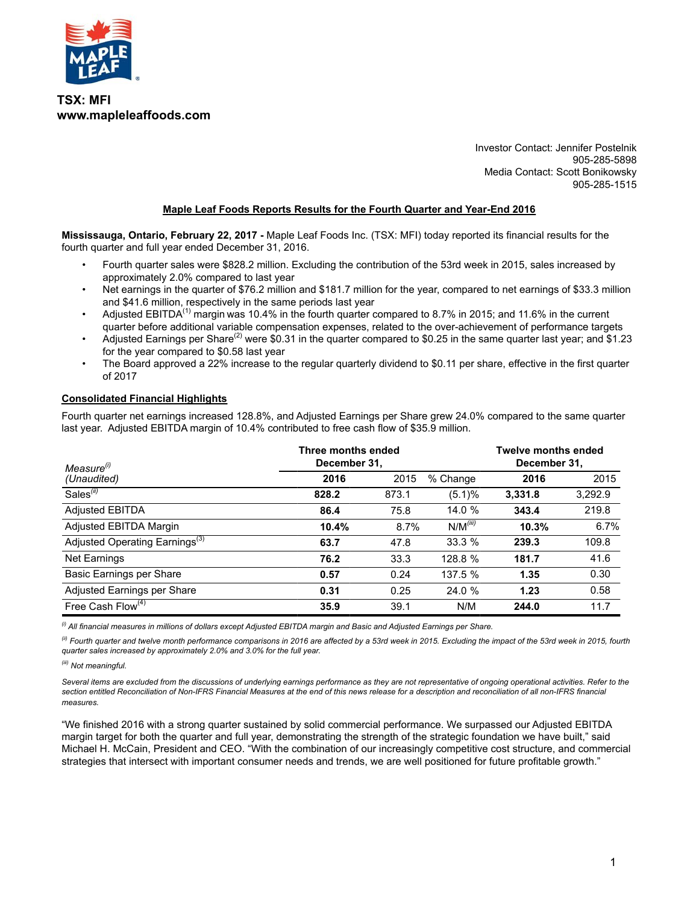

**TSX: MFI www.mapleleaffoods.com**

> Investor Contact: Jennifer Postelnik 905-285-5898 Media Contact: Scott Bonikowsky 905-285-1515

#### **Maple Leaf Foods Reports Results for the Fourth Quarter and Year-End 2016**

**Mississauga, Ontario, February 22, 2017 -** Maple Leaf Foods Inc. (TSX: MFI) today reported its financial results for the fourth quarter and full year ended December 31, 2016.

- Fourth quarter sales were \$828.2 million. Excluding the contribution of the 53rd week in 2015, sales increased by approximately 2.0% compared to last year
- Net earnings in the quarter of \$76.2 million and \$181.7 million for the year, compared to net earnings of \$33.3 million and \$41.6 million, respectively in the same periods last year
- Adjusted EBITDA<sup>(1)</sup> margin was 10.4% in the fourth quarter compared to 8.7% in 2015; and 11.6% in the current quarter before additional variable compensation expenses, related to the over-achievement of performance targets
- Adjusted Earnings per Share<sup>(2)</sup> were \$0.31 in the quarter compared to \$0.25 in the same quarter last year; and \$1.23 for the year compared to \$0.58 last year
- The Board approved a 22% increase to the regular quarterly dividend to \$0.11 per share, effective in the first quarter of 2017

#### **Consolidated Financial Highlights**

Fourth quarter net earnings increased 128.8%, and Adjusted Earnings per Share grew 24.0% compared to the same quarter last year. Adjusted EBITDA margin of 10.4% contributed to free cash flow of \$35.9 million.

| Measure <sup>(i)</sup>                     | Three months ended<br>December 31, |       |               | <b>Twelve months ended</b><br>December 31, |         |
|--------------------------------------------|------------------------------------|-------|---------------|--------------------------------------------|---------|
| (Unaudited)                                | 2016                               | 2015  | % Change      | 2016                                       | 2015    |
| Sales <sup>(ii)</sup>                      | 828.2                              | 873.1 | (5.1)%        | 3.331.8                                    | 3,292.9 |
| <b>Adjusted EBITDA</b>                     | 86.4                               | 75.8  | 14.0 %        | 343.4                                      | 219.8   |
| Adjusted EBITDA Margin                     | 10.4%                              | 8.7%  | $N/M^{(iii)}$ | 10.3%                                      | 6.7%    |
| Adjusted Operating Earnings <sup>(3)</sup> | 63.7                               | 47.8  | 33.3%         | 239.3                                      | 109.8   |
| <b>Net Earnings</b>                        | 76.2                               | 33.3  | 128.8 %       | 181.7                                      | 41.6    |
| Basic Earnings per Share                   | 0.57                               | 0.24  | 137.5 %       | 1.35                                       | 0.30    |
| Adjusted Earnings per Share                | 0.31                               | 0.25  | 24.0%         | 1.23                                       | 0.58    |
| Free Cash Flow <sup>(4)</sup>              | 35.9                               | 39.1  | N/M           | 244.0                                      | 11.7    |

*(i) All financial measures in millions of dollars except Adjusted EBITDA margin and Basic and Adjusted Earnings per Share.*

*(ii) Fourth quarter and twelve month performance comparisons in 2016 are affected by a 53rd week in 2015. Excluding the impact of the 53rd week in 2015, fourth quarter sales increased by approximately 2.0% and 3.0% for the full year.*

*(iii) Not meaningful.*

Several items are excluded from the discussions of underlying earnings performance as they are not representative of ongoing operational activities. Refer to the section entitled Reconciliation of Non-IFRS Financial Measures at the end of this news release for a description and reconciliation of all non-IFRS financial *measures.* 

"We finished 2016 with a strong quarter sustained by solid commercial performance. We surpassed our Adjusted EBITDA margin target for both the quarter and full year, demonstrating the strength of the strategic foundation we have built," said Michael H. McCain, President and CEO. "With the combination of our increasingly competitive cost structure, and commercial strategies that intersect with important consumer needs and trends, we are well positioned for future profitable growth."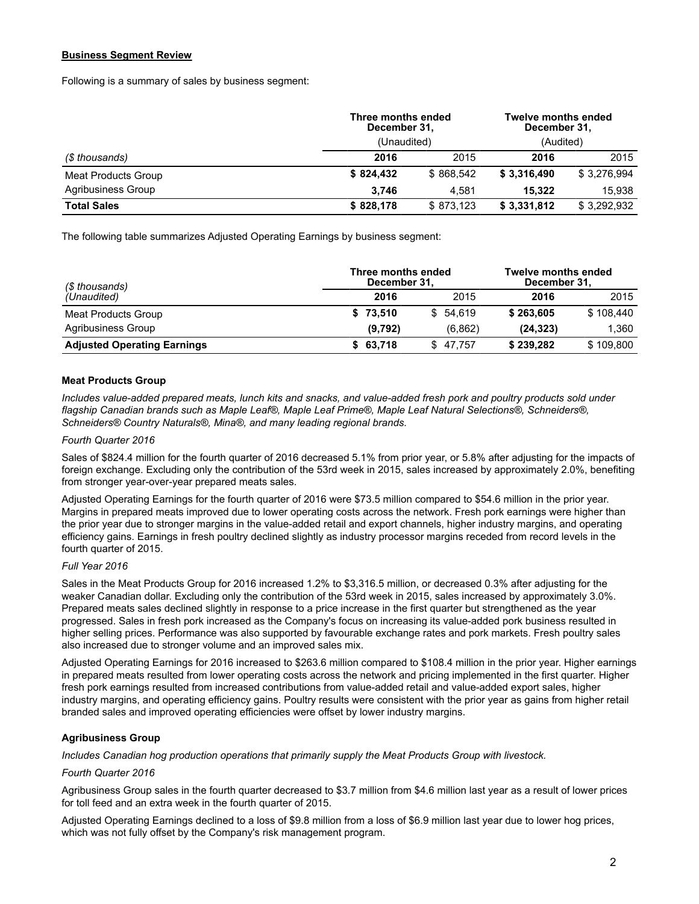#### **Business Segment Review**

Following is a summary of sales by business segment:

|                     | Three months ended<br>December 31, | Twelve months ended<br>December 31, |             |             |  |  |
|---------------------|------------------------------------|-------------------------------------|-------------|-------------|--|--|
|                     | (Unaudited)                        |                                     |             |             |  |  |
| (\$ thousands)      | 2016                               | 2015                                |             | 2015        |  |  |
| Meat Products Group | \$824.432                          | \$868.542                           | \$3,316,490 | \$3,276,994 |  |  |
| Agribusiness Group  | 3.746                              | 4.581                               | 15.322      | 15.938      |  |  |
| <b>Total Sales</b>  | \$828,178                          | \$873,123                           | \$3,331,812 | \$3,292,932 |  |  |

The following table summarizes Adjusted Operating Earnings by business segment:

| (\$ thousands)                     | Three months ended<br>December 31, | <b>Twelve months ended</b><br>December 31, |           |           |  |
|------------------------------------|------------------------------------|--------------------------------------------|-----------|-----------|--|
| (Unaudited)                        | 2016                               | 2015                                       | 2016      | 2015      |  |
| Meat Products Group                | \$73,510                           | \$54.619                                   | \$263,605 | \$108.440 |  |
| Agribusiness Group                 | (9,792)                            | (6.862)                                    | (24.323)  | 1.360     |  |
| <b>Adjusted Operating Earnings</b> | \$63,718                           | \$47.757                                   | \$239,282 | \$109,800 |  |

#### **Meat Products Group**

*Includes value-added prepared meats, lunch kits and snacks, and value-added fresh pork and poultry products sold under flagship Canadian brands such as Maple Leaf®, Maple Leaf Prime®, Maple Leaf Natural Selections®, Schneiders®, Schneiders® Country Naturals®, Mina®, and many leading regional brands.*

#### *Fourth Quarter 2016*

Sales of \$824.4 million for the fourth quarter of 2016 decreased 5.1% from prior year, or 5.8% after adjusting for the impacts of foreign exchange. Excluding only the contribution of the 53rd week in 2015, sales increased by approximately 2.0%, benefiting from stronger year-over-year prepared meats sales.

Adjusted Operating Earnings for the fourth quarter of 2016 were \$73.5 million compared to \$54.6 million in the prior year. Margins in prepared meats improved due to lower operating costs across the network. Fresh pork earnings were higher than the prior year due to stronger margins in the value-added retail and export channels, higher industry margins, and operating efficiency gains. Earnings in fresh poultry declined slightly as industry processor margins receded from record levels in the fourth quarter of 2015.

#### *Full Year 2016*

Sales in the Meat Products Group for 2016 increased 1.2% to \$3,316.5 million, or decreased 0.3% after adjusting for the weaker Canadian dollar. Excluding only the contribution of the 53rd week in 2015, sales increased by approximately 3.0%. Prepared meats sales declined slightly in response to a price increase in the first quarter but strengthened as the year progressed. Sales in fresh pork increased as the Company's focus on increasing its value-added pork business resulted in higher selling prices. Performance was also supported by favourable exchange rates and pork markets. Fresh poultry sales also increased due to stronger volume and an improved sales mix.

Adjusted Operating Earnings for 2016 increased to \$263.6 million compared to \$108.4 million in the prior year. Higher earnings in prepared meats resulted from lower operating costs across the network and pricing implemented in the first quarter. Higher fresh pork earnings resulted from increased contributions from value-added retail and value-added export sales, higher industry margins, and operating efficiency gains. Poultry results were consistent with the prior year as gains from higher retail branded sales and improved operating efficiencies were offset by lower industry margins.

#### **Agribusiness Group**

*Includes Canadian hog production operations that primarily supply the Meat Products Group with livestock.*

#### *Fourth Quarter 2016*

Agribusiness Group sales in the fourth quarter decreased to \$3.7 million from \$4.6 million last year as a result of lower prices for toll feed and an extra week in the fourth quarter of 2015.

Adjusted Operating Earnings declined to a loss of \$9.8 million from a loss of \$6.9 million last year due to lower hog prices, which was not fully offset by the Company's risk management program.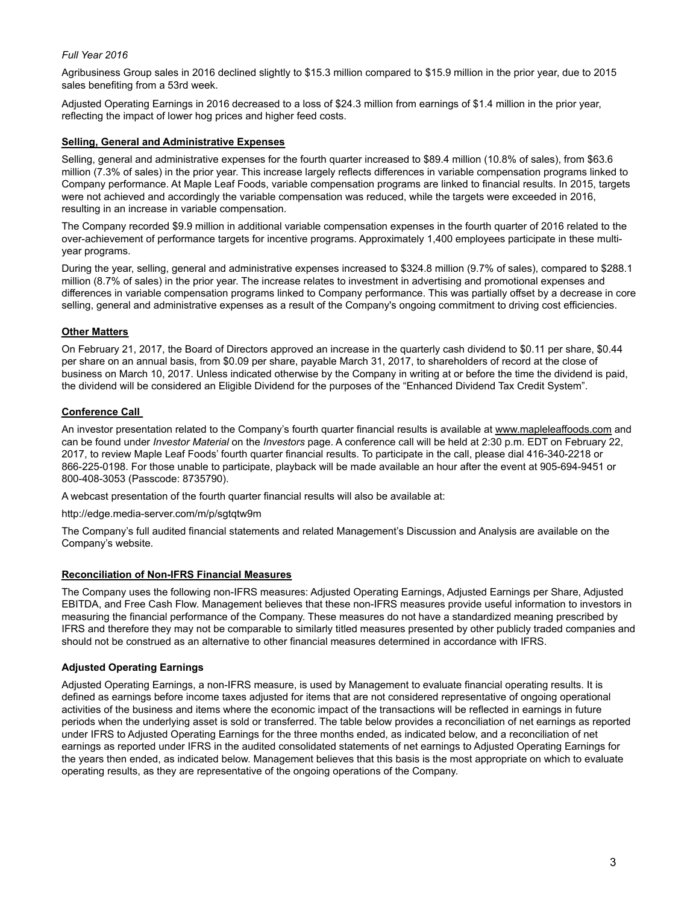#### *Full Year 2016*

Agribusiness Group sales in 2016 declined slightly to \$15.3 million compared to \$15.9 million in the prior year, due to 2015 sales benefiting from a 53rd week.

Adjusted Operating Earnings in 2016 decreased to a loss of \$24.3 million from earnings of \$1.4 million in the prior year, reflecting the impact of lower hog prices and higher feed costs.

#### **Selling, General and Administrative Expenses**

Selling, general and administrative expenses for the fourth quarter increased to \$89.4 million (10.8% of sales), from \$63.6 million (7.3% of sales) in the prior year. This increase largely reflects differences in variable compensation programs linked to Company performance. At Maple Leaf Foods, variable compensation programs are linked to financial results. In 2015, targets were not achieved and accordingly the variable compensation was reduced, while the targets were exceeded in 2016, resulting in an increase in variable compensation.

The Company recorded \$9.9 million in additional variable compensation expenses in the fourth quarter of 2016 related to the over-achievement of performance targets for incentive programs. Approximately 1,400 employees participate in these multiyear programs.

During the year, selling, general and administrative expenses increased to \$324.8 million (9.7% of sales), compared to \$288.1 million (8.7% of sales) in the prior year. The increase relates to investment in advertising and promotional expenses and differences in variable compensation programs linked to Company performance. This was partially offset by a decrease in core selling, general and administrative expenses as a result of the Company's ongoing commitment to driving cost efficiencies.

#### **Other Matters**

On February 21, 2017, the Board of Directors approved an increase in the quarterly cash dividend to \$0.11 per share, \$0.44 per share on an annual basis, from \$0.09 per share, payable March 31, 2017, to shareholders of record at the close of business on March 10, 2017. Unless indicated otherwise by the Company in writing at or before the time the dividend is paid, the dividend will be considered an Eligible Dividend for the purposes of the "Enhanced Dividend Tax Credit System".

#### **Conference Call**

An investor presentation related to the Company's fourth quarter financial results is available at www.mapleleaffoods.com and can be found under *Investor Material* on the *Investors* page. A conference call will be held at 2:30 p.m. EDT on February 22, 2017, to review Maple Leaf Foods' fourth quarter financial results. To participate in the call, please dial 416-340-2218 or 866-225-0198. For those unable to participate, playback will be made available an hour after the event at 905-694-9451 or 800-408-3053 (Passcode: 8735790).

A webcast presentation of the fourth quarter financial results will also be available at:

http://edge.media-server.com/m/p/sgtqtw9m

The Company's full audited financial statements and related Management's Discussion and Analysis are available on the Company's website.

#### **Reconciliation of Non-IFRS Financial Measures**

The Company uses the following non-IFRS measures: Adjusted Operating Earnings, Adjusted Earnings per Share, Adjusted EBITDA, and Free Cash Flow. Management believes that these non-IFRS measures provide useful information to investors in measuring the financial performance of the Company. These measures do not have a standardized meaning prescribed by IFRS and therefore they may not be comparable to similarly titled measures presented by other publicly traded companies and should not be construed as an alternative to other financial measures determined in accordance with IFRS.

#### **Adjusted Operating Earnings**

Adjusted Operating Earnings, a non-IFRS measure, is used by Management to evaluate financial operating results. It is defined as earnings before income taxes adjusted for items that are not considered representative of ongoing operational activities of the business and items where the economic impact of the transactions will be reflected in earnings in future periods when the underlying asset is sold or transferred. The table below provides a reconciliation of net earnings as reported under IFRS to Adjusted Operating Earnings for the three months ended, as indicated below, and a reconciliation of net earnings as reported under IFRS in the audited consolidated statements of net earnings to Adjusted Operating Earnings for the years then ended, as indicated below. Management believes that this basis is the most appropriate on which to evaluate operating results, as they are representative of the ongoing operations of the Company.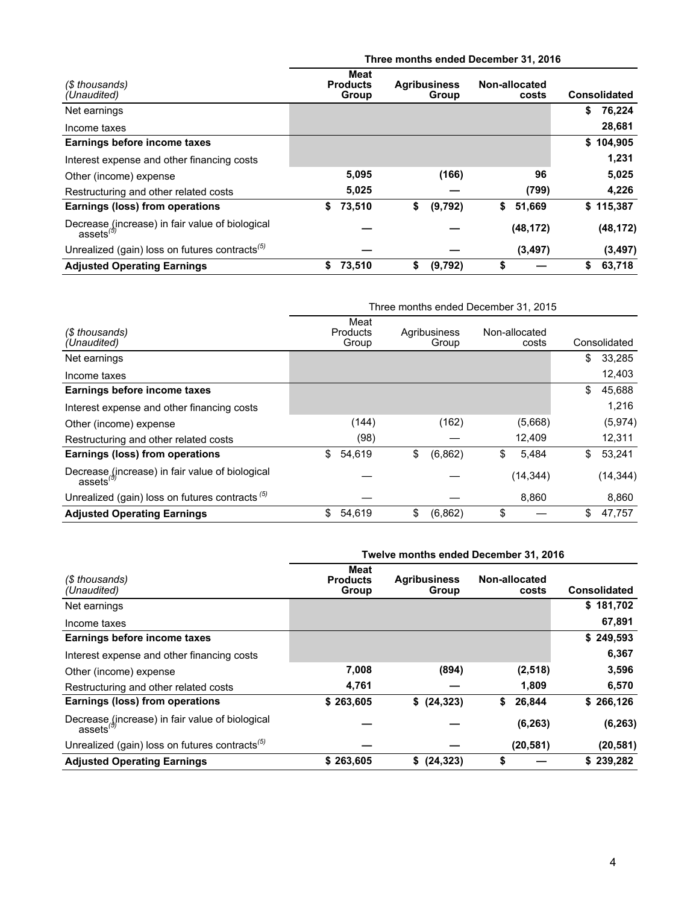|                                                                          | Three months ended December 31, 2016 |                                  |    |                              |    |                        |    |                     |  |  |  |
|--------------------------------------------------------------------------|--------------------------------------|----------------------------------|----|------------------------------|----|------------------------|----|---------------------|--|--|--|
| (\$ thousands)<br>(Unaudited)                                            |                                      | Meat<br><b>Products</b><br>Group |    | <b>Agribusiness</b><br>Group |    | Non-allocated<br>costs |    | <b>Consolidated</b> |  |  |  |
| Net earnings                                                             |                                      |                                  |    |                              |    |                        | \$ | 76,224              |  |  |  |
| Income taxes                                                             |                                      |                                  |    |                              |    |                        |    | 28,681              |  |  |  |
| Earnings before income taxes                                             |                                      |                                  |    |                              |    |                        | \$ | 104,905             |  |  |  |
| Interest expense and other financing costs                               |                                      |                                  |    |                              |    |                        |    | 1,231               |  |  |  |
| Other (income) expense                                                   |                                      | 5,095                            |    | (166)                        |    | 96                     |    | 5,025               |  |  |  |
| Restructuring and other related costs                                    |                                      | 5,025                            |    |                              |    | (799)                  |    | 4,226               |  |  |  |
| Earnings (loss) from operations                                          | \$                                   | 73,510                           | \$ | (9,792)                      | \$ | 51,669                 |    | \$115,387           |  |  |  |
| Decrease (increase) in fair value of biological<br>assets <sup>(5)</sup> |                                      |                                  |    |                              |    | (48, 172)              |    | (48, 172)           |  |  |  |
| Unrealized (gain) loss on futures contracts <sup>(5)</sup>               |                                      |                                  |    |                              |    | (3, 497)               |    | (3, 497)            |  |  |  |
| <b>Adjusted Operating Earnings</b>                                       | \$                                   | 73,510                           | \$ | (9,792)                      |    |                        | \$ | 63,718              |  |  |  |

|                                                                          | Three months ended December 31, 2015 |                           |    |                       |    |                        |    |              |  |
|--------------------------------------------------------------------------|--------------------------------------|---------------------------|----|-----------------------|----|------------------------|----|--------------|--|
| (\$ thousands)<br>(Unaudited)                                            |                                      | Meat<br>Products<br>Group |    | Agribusiness<br>Group |    | Non-allocated<br>costs |    | Consolidated |  |
| Net earnings                                                             |                                      |                           |    |                       |    |                        | \$ | 33,285       |  |
| Income taxes                                                             |                                      |                           |    |                       |    |                        |    | 12,403       |  |
| Earnings before income taxes                                             |                                      |                           |    |                       |    |                        | \$ | 45,688       |  |
| Interest expense and other financing costs                               |                                      |                           |    |                       |    |                        |    | 1.216        |  |
| Other (income) expense                                                   |                                      | (144)                     |    | (162)                 |    | (5,668)                |    | (5,974)      |  |
| Restructuring and other related costs                                    |                                      | (98)                      |    |                       |    | 12,409                 |    | 12,311       |  |
| Earnings (loss) from operations                                          | \$                                   | 54,619                    | \$ | (6,862)               | \$ | 5,484                  | \$ | 53,241       |  |
| Decrease (increase) in fair value of biological<br>assets <sup>(5)</sup> |                                      |                           |    |                       |    | (14, 344)              |    | (14, 344)    |  |
| Unrealized (gain) loss on futures contracts $(5)$                        |                                      |                           |    |                       |    | 8,860                  |    | 8,860        |  |
| <b>Adjusted Operating Earnings</b>                                       | \$                                   | 54,619                    | \$ | (6,862)               | \$ |                        | \$ | 47,757       |  |

|                                                                    | Twelve months ended December 31, 2016 |                              |                        |                     |  |  |  |  |
|--------------------------------------------------------------------|---------------------------------------|------------------------------|------------------------|---------------------|--|--|--|--|
| (\$ thousands)<br>(Unaudited)                                      | Meat<br><b>Products</b><br>Group      | <b>Agribusiness</b><br>Group | Non-allocated<br>costs | <b>Consolidated</b> |  |  |  |  |
| Net earnings                                                       |                                       |                              |                        | \$181,702           |  |  |  |  |
| Income taxes                                                       |                                       |                              |                        | 67,891              |  |  |  |  |
| Earnings before income taxes                                       |                                       |                              |                        | \$249,593           |  |  |  |  |
| Interest expense and other financing costs                         |                                       |                              |                        | 6,367               |  |  |  |  |
| Other (income) expense                                             | 7,008                                 | (894)                        | (2,518)                | 3,596               |  |  |  |  |
| Restructuring and other related costs                              | 4,761                                 |                              | 1,809                  | 6,570               |  |  |  |  |
| Earnings (loss) from operations                                    | \$263,605                             | \$ (24, 323)                 | 26,844<br>\$           | \$266,126           |  |  |  |  |
| Decrease (increase) in fair value of biological<br>$\arccos^{(5)}$ |                                       |                              | (6, 263)               | (6, 263)            |  |  |  |  |
| Unrealized (gain) loss on futures contracts <sup>(5)</sup>         |                                       |                              | (20, 581)              | (20, 581)           |  |  |  |  |
| <b>Adjusted Operating Earnings</b>                                 | \$263,605                             | \$(24,323)                   | \$                     | \$239.282           |  |  |  |  |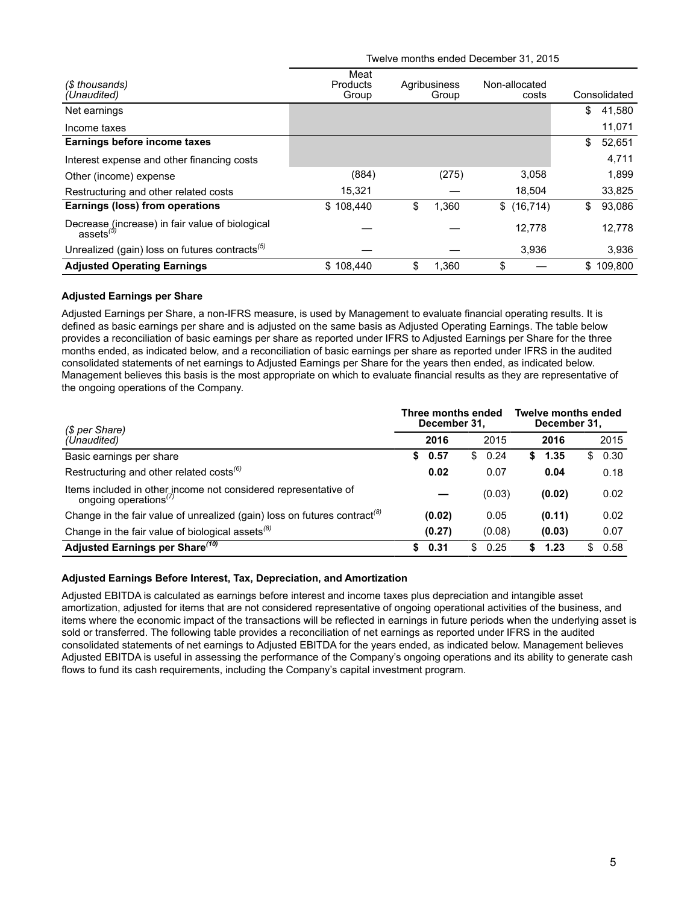| (\$ thousands)<br>(Unaudited)                                            | Meat<br><b>Products</b><br>Group | Agribusiness<br>Group | Non-allocated<br>costs | Consolidated  |
|--------------------------------------------------------------------------|----------------------------------|-----------------------|------------------------|---------------|
| Net earnings                                                             |                                  |                       |                        | \$<br>41,580  |
| Income taxes                                                             |                                  |                       |                        | 11,071        |
| Earnings before income taxes                                             |                                  |                       |                        | \$<br>52,651  |
| Interest expense and other financing costs                               |                                  |                       |                        | 4,711         |
| Other (income) expense                                                   | (884)                            | (275)                 | 3,058                  | 1,899         |
| Restructuring and other related costs                                    | 15,321                           |                       | 18.504                 | 33,825        |
| Earnings (loss) from operations                                          | \$108.440                        | \$<br>1,360           | \$(16,714)             | \$<br>93,086  |
| Decrease (increase) in fair value of biological<br>assets <sup>(3)</sup> |                                  |                       | 12,778                 | 12,778        |
| Unrealized (gain) loss on futures contracts <sup>(5)</sup>               |                                  |                       | 3,936                  | 3,936         |
| <b>Adjusted Operating Earnings</b>                                       | \$108.440                        | \$<br>1.360           | \$                     | \$<br>109.800 |

Twelve months ended December 31, 2015

#### **Adjusted Earnings per Share**

Adjusted Earnings per Share, a non-IFRS measure, is used by Management to evaluate financial operating results. It is defined as basic earnings per share and is adjusted on the same basis as Adjusted Operating Earnings. The table below provides a reconciliation of basic earnings per share as reported under IFRS to Adjusted Earnings per Share for the three months ended, as indicated below, and a reconciliation of basic earnings per share as reported under IFRS in the audited consolidated statements of net earnings to Adjusted Earnings per Share for the years then ended, as indicated below. Management believes this basis is the most appropriate on which to evaluate financial results as they are representative of the ongoing operations of the Company.

| (\$ per Share)                                                                                       | Three months ended<br>December 31, |            | <b>Twelve months ended</b><br>December 31, |            |
|------------------------------------------------------------------------------------------------------|------------------------------------|------------|--------------------------------------------|------------|
| (Unaudited)                                                                                          | 2016                               | 2015       | 2016                                       | 2015       |
| Basic earnings per share                                                                             | 0.57<br>S.                         | 0.24<br>S  | 1.35<br>S.                                 | \$0.30     |
| Restructuring and other related costs <sup>(6)</sup>                                                 | 0.02                               | 0.07       | 0.04                                       | 0.18       |
| Items included in other income not considered representative of<br>ongoing operations <sup>(7)</sup> |                                    | (0.03)     | (0.02)                                     | 0.02       |
| Change in the fair value of unrealized (gain) loss on futures contract <sup>(8)</sup>                | (0.02)                             | 0.05       | (0.11)                                     | 0.02       |
| Change in the fair value of biological assets <sup>(8)</sup>                                         | (0.27)                             | (0.08)     | (0.03)                                     | 0.07       |
| Adjusted Earnings per Share <sup>(10)</sup>                                                          | 0.31<br>S.                         | 0.25<br>S. | 1.23                                       | 0.58<br>S. |

#### **Adjusted Earnings Before Interest, Tax, Depreciation, and Amortization**

Adjusted EBITDA is calculated as earnings before interest and income taxes plus depreciation and intangible asset amortization, adjusted for items that are not considered representative of ongoing operational activities of the business, and items where the economic impact of the transactions will be reflected in earnings in future periods when the underlying asset is sold or transferred. The following table provides a reconciliation of net earnings as reported under IFRS in the audited consolidated statements of net earnings to Adjusted EBITDA for the years ended, as indicated below. Management believes Adjusted EBITDA is useful in assessing the performance of the Company's ongoing operations and its ability to generate cash flows to fund its cash requirements, including the Company's capital investment program.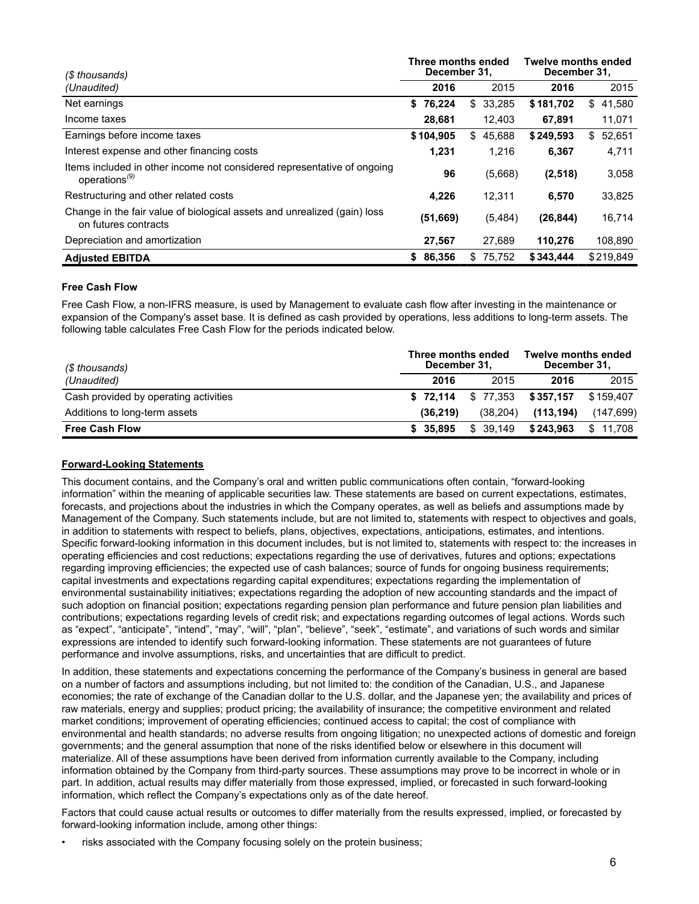| (\$ thousands)                                                                                       | Three months ended<br>December 31, |               | <b>Twelve months ended</b><br>December 31, |              |
|------------------------------------------------------------------------------------------------------|------------------------------------|---------------|--------------------------------------------|--------------|
| (Unaudited)                                                                                          | 2016                               | 2015          | 2016                                       | 2015         |
| Net earnings                                                                                         | \$76,224                           | 33,285<br>\$  | \$181,702                                  | 41,580<br>\$ |
| Income taxes                                                                                         | 28,681                             | 12,403        | 67,891                                     | 11,071       |
| Earnings before income taxes                                                                         | \$104,905                          | 45,688<br>\$. | \$249,593                                  | 52,651<br>\$ |
| Interest expense and other financing costs                                                           | 1,231                              | 1,216         | 6,367                                      | 4,711        |
| Items included in other income not considered representative of ongoing<br>operations <sup>(9)</sup> | 96                                 | (5,668)       | (2,518)                                    | 3,058        |
| Restructuring and other related costs                                                                | 4.226                              | 12.311        | 6,570                                      | 33,825       |
| Change in the fair value of biological assets and unrealized (gain) loss<br>on futures contracts     | (51, 669)                          | (5,484)       | (26, 844)                                  | 16,714       |
| Depreciation and amortization                                                                        | 27,567                             | 27.689        | 110.276                                    | 108,890      |
| <b>Adjusted EBITDA</b>                                                                               | 86,356<br>S.                       | 75.752<br>\$. | \$343.444                                  | \$219.849    |

#### **Free Cash Flow**

Free Cash Flow, a non-IFRS measure, is used by Management to evaluate cash flow after investing in the maintenance or expansion of the Company's asset base. It is defined as cash provided by operations, less additions to long-term assets. The following table calculates Free Cash Flow for the periods indicated below.

| (\$ thousands)                        | Three months ended<br>December 31. |          | Twelve months ended<br>December 31, |           |  |  |
|---------------------------------------|------------------------------------|----------|-------------------------------------|-----------|--|--|
| (Unaudited)                           | 2016                               | 2015     | 2016                                | 2015      |  |  |
| Cash provided by operating activities | \$72.114                           | \$77.353 | \$357,157                           | \$159.407 |  |  |
| Additions to long-term assets         | (36.219)                           | (38.204) | (113.194)                           | (147,699) |  |  |
| <b>Free Cash Flow</b>                 | \$35.895                           | \$39.149 | \$243.963                           | \$11.708  |  |  |

#### **Forward-Looking Statements**

This document contains, and the Company's oral and written public communications often contain, "forward-looking information" within the meaning of applicable securities law. These statements are based on current expectations, estimates, forecasts, and projections about the industries in which the Company operates, as well as beliefs and assumptions made by Management of the Company. Such statements include, but are not limited to, statements with respect to objectives and goals, in addition to statements with respect to beliefs, plans, objectives, expectations, anticipations, estimates, and intentions. Specific forward-looking information in this document includes, but is not limited to, statements with respect to: the increases in operating efficiencies and cost reductions; expectations regarding the use of derivatives, futures and options; expectations regarding improving efficiencies; the expected use of cash balances; source of funds for ongoing business requirements; capital investments and expectations regarding capital expenditures; expectations regarding the implementation of environmental sustainability initiatives; expectations regarding the adoption of new accounting standards and the impact of such adoption on financial position; expectations regarding pension plan performance and future pension plan liabilities and contributions; expectations regarding levels of credit risk; and expectations regarding outcomes of legal actions. Words such as "expect", "anticipate", "intend", "may", "will", "plan", "believe", "seek", "estimate", and variations of such words and similar expressions are intended to identify such forward-looking information. These statements are not guarantees of future performance and involve assumptions, risks, and uncertainties that are difficult to predict.

In addition, these statements and expectations concerning the performance of the Company's business in general are based on a number of factors and assumptions including, but not limited to: the condition of the Canadian, U.S., and Japanese economies; the rate of exchange of the Canadian dollar to the U.S. dollar, and the Japanese yen; the availability and prices of raw materials, energy and supplies; product pricing; the availability of insurance; the competitive environment and related market conditions; improvement of operating efficiencies; continued access to capital; the cost of compliance with environmental and health standards; no adverse results from ongoing litigation; no unexpected actions of domestic and foreign governments; and the general assumption that none of the risks identified below or elsewhere in this document will materialize. All of these assumptions have been derived from information currently available to the Company, including information obtained by the Company from third-party sources. These assumptions may prove to be incorrect in whole or in part. In addition, actual results may differ materially from those expressed, implied, or forecasted in such forward-looking information, which reflect the Company's expectations only as of the date hereof.

Factors that could cause actual results or outcomes to differ materially from the results expressed, implied, or forecasted by forward-looking information include, among other things:

risks associated with the Company focusing solely on the protein business;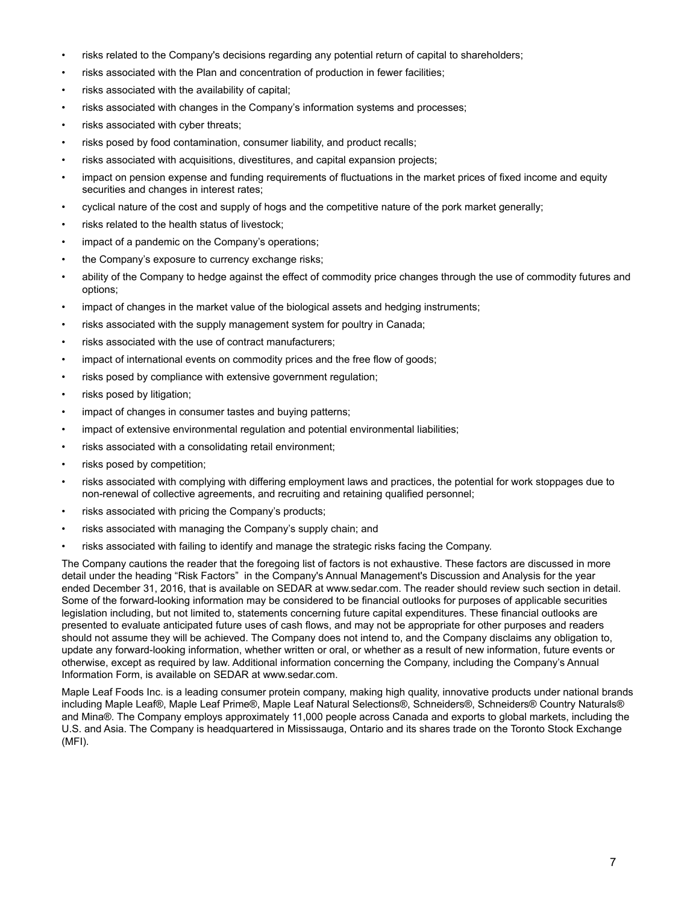- risks related to the Company's decisions regarding any potential return of capital to shareholders;
- risks associated with the Plan and concentration of production in fewer facilities;
- risks associated with the availability of capital;
- risks associated with changes in the Company's information systems and processes;
- risks associated with cyber threats;
- risks posed by food contamination, consumer liability, and product recalls;
- risks associated with acquisitions, divestitures, and capital expansion projects;
- impact on pension expense and funding requirements of fluctuations in the market prices of fixed income and equity securities and changes in interest rates;
- cyclical nature of the cost and supply of hogs and the competitive nature of the pork market generally;
- risks related to the health status of livestock;
- impact of a pandemic on the Company's operations;
- the Company's exposure to currency exchange risks;
- ability of the Company to hedge against the effect of commodity price changes through the use of commodity futures and options;
- impact of changes in the market value of the biological assets and hedging instruments;
- risks associated with the supply management system for poultry in Canada;
- risks associated with the use of contract manufacturers;
- impact of international events on commodity prices and the free flow of goods;
- risks posed by compliance with extensive government regulation;
- risks posed by litigation;
- impact of changes in consumer tastes and buying patterns;
- impact of extensive environmental regulation and potential environmental liabilities;
- risks associated with a consolidating retail environment;
- risks posed by competition;
- risks associated with complying with differing employment laws and practices, the potential for work stoppages due to non-renewal of collective agreements, and recruiting and retaining qualified personnel;
- risks associated with pricing the Company's products;
- risks associated with managing the Company's supply chain; and
- risks associated with failing to identify and manage the strategic risks facing the Company.

The Company cautions the reader that the foregoing list of factors is not exhaustive. These factors are discussed in more detail under the heading "Risk Factors" in the Company's Annual Management's Discussion and Analysis for the year ended December 31, 2016, that is available on SEDAR at www.sedar.com. The reader should review such section in detail. Some of the forward-looking information may be considered to be financial outlooks for purposes of applicable securities legislation including, but not limited to, statements concerning future capital expenditures. These financial outlooks are presented to evaluate anticipated future uses of cash flows, and may not be appropriate for other purposes and readers should not assume they will be achieved. The Company does not intend to, and the Company disclaims any obligation to, update any forward-looking information, whether written or oral, or whether as a result of new information, future events or otherwise, except as required by law. Additional information concerning the Company, including the Company's Annual Information Form, is available on SEDAR at www.sedar.com.

Maple Leaf Foods Inc. is a leading consumer protein company, making high quality, innovative products under national brands including Maple Leaf®, Maple Leaf Prime®, Maple Leaf Natural Selections®, Schneiders®, Schneiders® Country Naturals® and Mina®. The Company employs approximately 11,000 people across Canada and exports to global markets, including the U.S. and Asia. The Company is headquartered in Mississauga, Ontario and its shares trade on the Toronto Stock Exchange (MFI).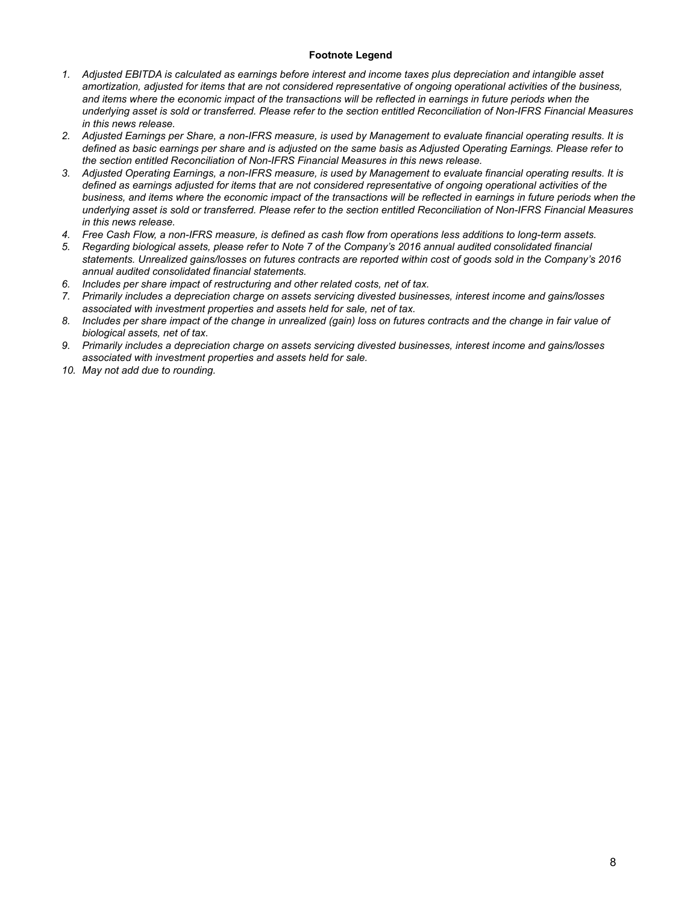#### **Footnote Legend**

- *1. Adjusted EBITDA is calculated as earnings before interest and income taxes plus depreciation and intangible asset amortization, adjusted for items that are not considered representative of ongoing operational activities of the business, and items where the economic impact of the transactions will be reflected in earnings in future periods when the underlying asset is sold or transferred. Please refer to the section entitled Reconciliation of Non-IFRS Financial Measures in this news release.*
- *2. Adjusted Earnings per Share, a non-IFRS measure, is used by Management to evaluate financial operating results. It is defined as basic earnings per share and is adjusted on the same basis as Adjusted Operating Earnings. Please refer to the section entitled Reconciliation of Non-IFRS Financial Measures in this news release.*
- *3. Adjusted Operating Earnings, a non-IFRS measure, is used by Management to evaluate financial operating results. It is defined as earnings adjusted for items that are not considered representative of ongoing operational activities of the business, and items where the economic impact of the transactions will be reflected in earnings in future periods when the underlying asset is sold or transferred. Please refer to the section entitled Reconciliation of Non-IFRS Financial Measures in this news release.*
- *4. Free Cash Flow, a non-IFRS measure, is defined as cash flow from operations less additions to long-term assets.*
- *5. Regarding biological assets, please refer to Note 7 of the Company's 2016 annual audited consolidated financial statements. Unrealized gains/losses on futures contracts are reported within cost of goods sold in the Company's 2016 annual audited consolidated financial statements.*
- *6. Includes per share impact of restructuring and other related costs, net of tax.*
- *7. Primarily includes a depreciation charge on assets servicing divested businesses, interest income and gains/losses associated with investment properties and assets held for sale, net of tax.*
- *8. Includes per share impact of the change in unrealized (gain) loss on futures contracts and the change in fair value of biological assets, net of tax.*
- *9. Primarily includes a depreciation charge on assets servicing divested businesses, interest income and gains/losses associated with investment properties and assets held for sale.*
- *10. May not add due to rounding.*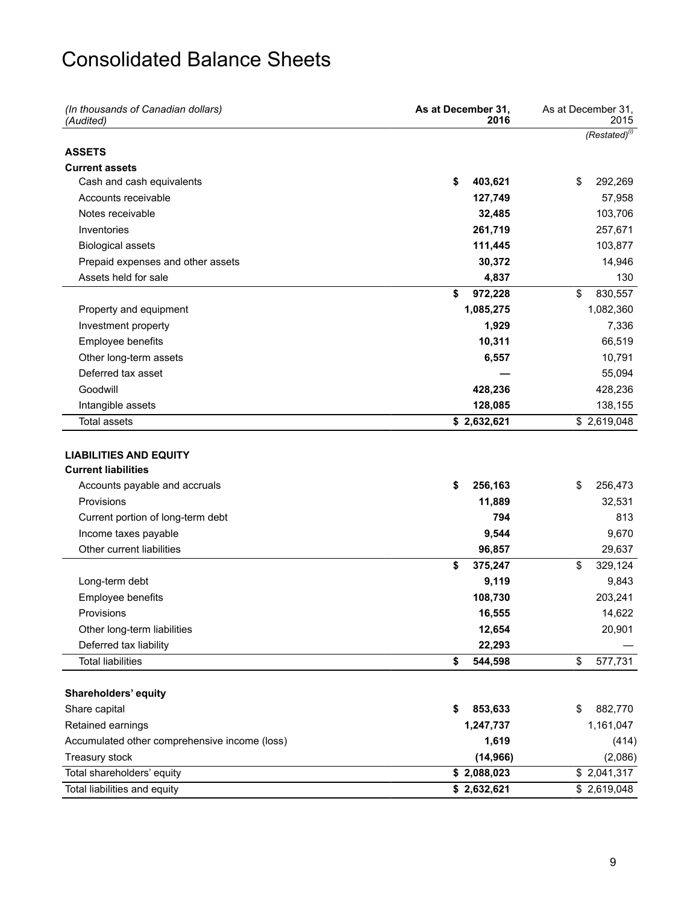### Consolidated Balance Sheets

| (In thousands of Canadian dollars)<br>(Audited)             | As at December 31,<br>2016 | As at December 31.<br>2015 |
|-------------------------------------------------------------|----------------------------|----------------------------|
|                                                             |                            | $(Restated)^{(i)}$         |
| <b>ASSETS</b>                                               |                            |                            |
| <b>Current assets</b>                                       |                            |                            |
| Cash and cash equivalents                                   | \$<br>403,621              | \$<br>292,269              |
| Accounts receivable                                         | 127,749                    | 57,958                     |
| Notes receivable                                            | 32,485                     | 103,706                    |
| Inventories                                                 | 261,719                    | 257,671                    |
| <b>Biological assets</b>                                    | 111,445                    | 103,877                    |
| Prepaid expenses and other assets                           | 30,372                     | 14,946                     |
| Assets held for sale                                        | 4,837                      | 130                        |
|                                                             | \$<br>972,228              | \$<br>830,557              |
| Property and equipment                                      | 1,085,275                  | 1,082,360                  |
| Investment property                                         | 1,929                      | 7,336                      |
| Employee benefits                                           | 10,311                     | 66,519                     |
| Other long-term assets                                      | 6,557                      | 10,791                     |
| Deferred tax asset                                          |                            | 55,094                     |
| Goodwill                                                    | 428,236                    | 428,236                    |
| Intangible assets                                           | 128,085                    | 138,155                    |
| <b>Total assets</b>                                         | \$2,632,621                | \$2,619,048                |
| <b>LIABILITIES AND EQUITY</b><br><b>Current liabilities</b> |                            |                            |
| Accounts payable and accruals                               | 256,163<br>\$              | \$<br>256,473              |
| Provisions                                                  | 11,889                     | 32,531                     |
| Current portion of long-term debt                           | 794                        | 813                        |
| Income taxes payable                                        | 9,544                      | 9,670                      |
| Other current liabilities                                   | 96,857                     | 29,637                     |
|                                                             | \$<br>375,247              | \$<br>329,124              |
| Long-term debt                                              | 9,119                      | 9,843                      |
| Employee benefits                                           | 108,730                    | 203,241                    |
| Provisions                                                  | 16,555                     | 14,622                     |
| Other long-term liabilities                                 | 12,654                     | 20,901                     |
| Deferred tax liability                                      | 22,293                     |                            |
| <b>Total liabilities</b>                                    | \$<br>544,598              | 577,731<br>\$              |
| Shareholders' equity                                        |                            |                            |
| Share capital                                               | 853,633<br>\$              | 882,770<br>\$              |
| Retained earnings                                           | 1,247,737                  | 1,161,047                  |
| Accumulated other comprehensive income (loss)               | 1,619<br>(14, 966)         | (414)<br>(2,086)           |
| Treasury stock<br>Total shareholders' equity                | \$2,088,023                | \$2,041,317                |
| Total liabilities and equity                                | \$2,632,621                | \$2,619,048                |
|                                                             |                            |                            |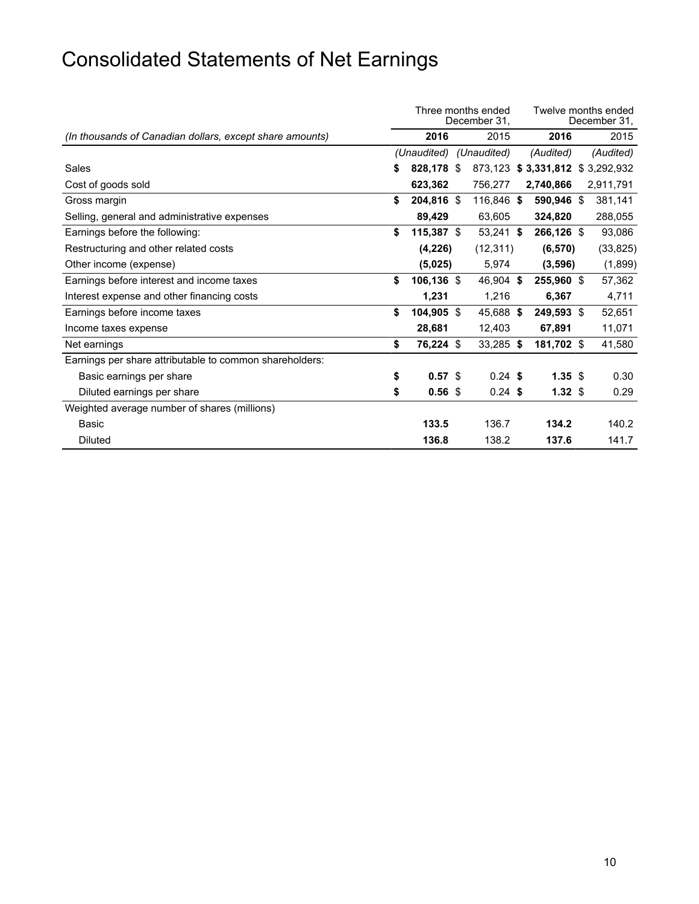# Consolidated Statements of Net Earnings

|                                                          | Three months ended<br>December 31, |                   |  |             |  |                                 |  | Twelve months ended<br>December 31, |
|----------------------------------------------------------|------------------------------------|-------------------|--|-------------|--|---------------------------------|--|-------------------------------------|
| (In thousands of Canadian dollars, except share amounts) |                                    | 2016              |  | 2015        |  | 2016                            |  | 2015                                |
|                                                          |                                    | (Unaudited)       |  | (Unaudited) |  | (Audited)                       |  | (Audited)                           |
| Sales                                                    | \$                                 | 828,178 \$        |  |             |  | 873,123 \$3,331,812 \$3,292,932 |  |                                     |
| Cost of goods sold                                       |                                    | 623,362           |  | 756,277     |  | 2,740,866                       |  | 2,911,791                           |
| Gross margin                                             | \$                                 | 204,816 \$        |  | 116,846 \$  |  | 590,946 \$                      |  | 381,141                             |
| Selling, general and administrative expenses             |                                    | 89,429            |  | 63,605      |  | 324,820                         |  | 288,055                             |
| Earnings before the following:                           | \$                                 | $115,387$ \$      |  | $53,241$ \$ |  | 266,126 \$                      |  | 93,086                              |
| Restructuring and other related costs                    |                                    | (4,226)           |  | (12, 311)   |  | (6, 570)                        |  | (33, 825)                           |
| Other income (expense)                                   |                                    | (5,025)           |  | 5,974       |  | (3,596)                         |  | (1,899)                             |
| Earnings before interest and income taxes                | \$                                 | 106,136 \$        |  | 46,904 \$   |  | 255,960 \$                      |  | 57,362                              |
| Interest expense and other financing costs               |                                    | 1,231             |  | 1,216       |  | 6,367                           |  | 4,711                               |
| Earnings before income taxes                             | \$                                 | 104,905 \$        |  | 45,688 \$   |  | 249,593 \$                      |  | 52,651                              |
| Income taxes expense                                     |                                    | 28,681            |  | 12,403      |  | 67,891                          |  | 11,071                              |
| Net earnings                                             | \$                                 | 76,224 \$         |  | 33,285 \$   |  | 181,702 \$                      |  | 41,580                              |
| Earnings per share attributable to common shareholders:  |                                    |                   |  |             |  |                                 |  |                                     |
| Basic earnings per share                                 | \$                                 | 0.57 <sup>5</sup> |  | $0.24$ \$   |  | $1.35$ \$                       |  | 0.30                                |
| Diluted earnings per share                               | \$                                 | 0.56 <sup>5</sup> |  | $0.24$ \$   |  | 1.32 <sup>5</sup>               |  | 0.29                                |
| Weighted average number of shares (millions)             |                                    |                   |  |             |  |                                 |  |                                     |
| Basic                                                    |                                    | 133.5             |  | 136.7       |  | 134.2                           |  | 140.2                               |
| <b>Diluted</b>                                           |                                    | 136.8             |  | 138.2       |  | 137.6                           |  | 141.7                               |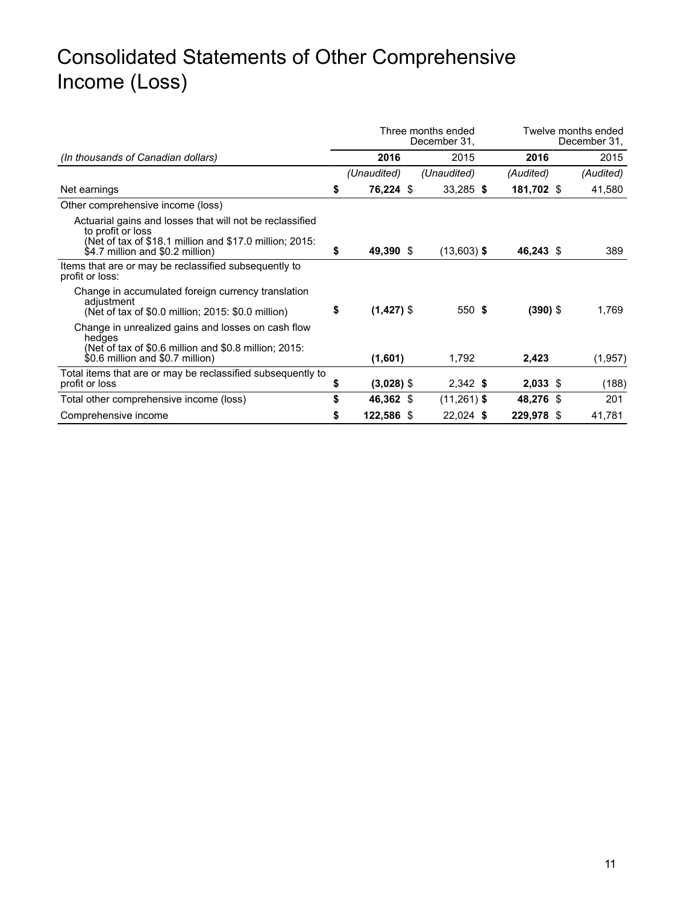### Consolidated Statements of Other Comprehensive Income (Loss)

|                                                                                                                                                                              | Three months ended<br>December 31, |              |  |               |  |            | Twelve months ended<br>December 31, |           |  |  |
|------------------------------------------------------------------------------------------------------------------------------------------------------------------------------|------------------------------------|--------------|--|---------------|--|------------|-------------------------------------|-----------|--|--|
| (In thousands of Canadian dollars)                                                                                                                                           |                                    | 2016         |  | 2015          |  | 2016       |                                     | 2015      |  |  |
|                                                                                                                                                                              |                                    | (Unaudited)  |  | (Unaudited)   |  | (Audited)  |                                     | (Audited) |  |  |
| Net earnings                                                                                                                                                                 | \$                                 | 76,224 \$    |  | 33,285 \$     |  | 181,702 \$ |                                     | 41,580    |  |  |
| Other comprehensive income (loss)                                                                                                                                            |                                    |              |  |               |  |            |                                     |           |  |  |
| Actuarial gains and losses that will not be reclassified<br>to profit or loss<br>(Net of tax of \$18.1 million and \$17.0 million; 2015:<br>\$4.7 million and \$0.2 million) | \$                                 | 49,390 \$    |  | $(13,603)$ \$ |  | 46,243 \$  |                                     | 389       |  |  |
| Items that are or may be reclassified subsequently to<br>profit or loss:                                                                                                     |                                    |              |  |               |  |            |                                     |           |  |  |
| Change in accumulated foreign currency translation<br>adjustment<br>(Net of tax of \$0.0 million; 2015: \$0.0 million)                                                       | \$                                 | $(1,427)$ \$ |  | 550 \$        |  | $(390)$ \$ |                                     | 1,769     |  |  |
| Change in unrealized gains and losses on cash flow<br>hedges<br>(Net of tax of \$0.6 million and \$0.8 million; 2015:<br>\$0.6 million and \$0.7 million)                    |                                    | (1,601)      |  | 1,792         |  | 2,423      |                                     | (1,957)   |  |  |
| Total items that are or may be reclassified subsequently to<br>profit or loss                                                                                                | \$                                 | $(3,028)$ \$ |  | $2,342$ \$    |  | $2,033$ \$ |                                     | (188)     |  |  |
| Total other comprehensive income (loss)                                                                                                                                      | \$                                 | 46,362 \$    |  | $(11,261)$ \$ |  | 48,276 \$  |                                     | 201       |  |  |
| Comprehensive income                                                                                                                                                         | \$                                 | 122,586 \$   |  | 22,024 \$     |  | 229,978 \$ |                                     | 41,781    |  |  |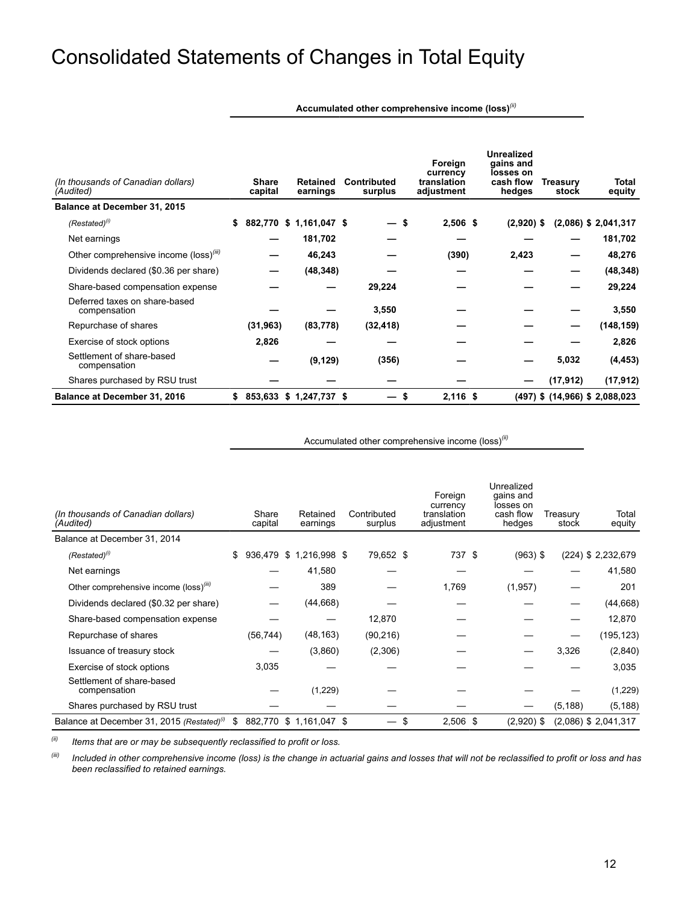### Consolidated Statements of Changes in Total Equity

**Accumulated other comprehensive income (loss)***(ii)*

| (In thousands of Canadian dollars)<br>(Audited)    |    | <b>Share</b><br>capital | <b>Retained</b><br>earnings | <b>Contributed</b><br>surplus | Foreign<br>currency<br>translation<br>adjustment | <b>Unrealized</b><br>gains and<br>losses on<br>cash flow<br>hedges | <b>Treasury</b><br>stock | Total<br>equity                    |
|----------------------------------------------------|----|-------------------------|-----------------------------|-------------------------------|--------------------------------------------------|--------------------------------------------------------------------|--------------------------|------------------------------------|
| Balance at December 31, 2015                       |    |                         |                             |                               |                                                  |                                                                    |                          |                                    |
| $(Restated)^{(i)}$                                 | S. |                         | 882,770 \$ 1,161,047 \$     | — \$                          | $2,506$ \$                                       | $(2,920)$ \$                                                       |                          | $(2,086)$ \$ 2,041,317             |
| Net earnings                                       |    |                         | 181,702                     |                               |                                                  |                                                                    |                          | 181,702                            |
| Other comprehensive income (loss) <sup>(iii)</sup> |    |                         | 46,243                      |                               | (390)                                            | 2,423                                                              |                          | 48,276                             |
| Dividends declared (\$0.36 per share)              |    |                         | (48, 348)                   |                               |                                                  |                                                                    |                          | (48, 348)                          |
| Share-based compensation expense                   |    |                         |                             | 29,224                        |                                                  |                                                                    |                          | 29,224                             |
| Deferred taxes on share-based<br>compensation      |    |                         |                             | 3,550                         |                                                  |                                                                    |                          | 3,550                              |
| Repurchase of shares                               |    | (31, 963)               | (83, 778)                   | (32, 418)                     |                                                  |                                                                    |                          | (148, 159)                         |
| Exercise of stock options                          |    | 2,826                   |                             |                               |                                                  |                                                                    |                          | 2,826                              |
| Settlement of share-based<br>compensation          |    |                         | (9, 129)                    | (356)                         |                                                  |                                                                    | 5,032                    | (4, 453)                           |
| Shares purchased by RSU trust                      |    |                         |                             |                               |                                                  |                                                                    | (17, 912)                | (17, 912)                          |
| <b>Balance at December 31, 2016</b>                | S. |                         | 853,633 \$ 1,247,737 \$     | S                             | $2,116$ \$                                       |                                                                    |                          | $(497)$ \$ $(14,966)$ \$ 2,088,023 |

Accumulated other comprehensive income (loss)*(ii)*

| (In thousands of Canadian dollars)<br>(Audited)        |     | Share<br>capital | Retained<br>earnings    | Contributed<br>surplus | Foreign<br>currency<br>translation<br>adjustment | Unrealized<br>gains and<br>losses on<br>cash flow<br>hedges | Treasury<br>stock | Total<br>equity        |
|--------------------------------------------------------|-----|------------------|-------------------------|------------------------|--------------------------------------------------|-------------------------------------------------------------|-------------------|------------------------|
| Balance at December 31, 2014                           |     |                  |                         |                        |                                                  |                                                             |                   |                        |
| $(Restated)^{(i)}$                                     | \$  |                  | 936,479 \$ 1,216,998 \$ | 79,652 \$              | 737 \$                                           | $(963)$ \$                                                  |                   | $(224)$ \$ 2,232,679   |
| Net earnings                                           |     |                  | 41,580                  |                        |                                                  |                                                             |                   | 41,580                 |
| Other comprehensive income (loss) <sup>(iii)</sup>     |     |                  | 389                     |                        | 1,769                                            | (1,957)                                                     |                   | 201                    |
| Dividends declared (\$0.32 per share)                  |     |                  | (44, 668)               |                        |                                                  |                                                             |                   | (44, 668)              |
| Share-based compensation expense                       |     |                  |                         | 12,870                 |                                                  |                                                             |                   | 12,870                 |
| Repurchase of shares                                   |     | (56, 744)        | (48, 163)               | (90, 216)              |                                                  |                                                             |                   | (195, 123)             |
| Issuance of treasury stock                             |     |                  | (3,860)                 | (2,306)                |                                                  |                                                             | 3,326             | (2,840)                |
| Exercise of stock options                              |     | 3,035            |                         |                        |                                                  |                                                             |                   | 3,035                  |
| Settlement of share-based<br>compensation              |     |                  | (1,229)                 |                        |                                                  |                                                             |                   | (1,229)                |
| Shares purchased by RSU trust                          |     |                  |                         |                        |                                                  |                                                             | (5, 188)          | (5, 188)               |
| Balance at December 31, 2015 (Restated) <sup>(1)</sup> | \$. |                  | 882.770 \$ 1.161.047 \$ | \$                     | $2,506$ \$                                       | $(2,920)$ \$                                                |                   | $(2,086)$ \$ 2,041,317 |

*(ii) Items that are or may be subsequently reclassified to profit or loss.* 

*(iii) Included in other comprehensive income (loss) is the change in actuarial gains and losses that will not be reclassified to profit or loss and has been reclassified to retained earnings.*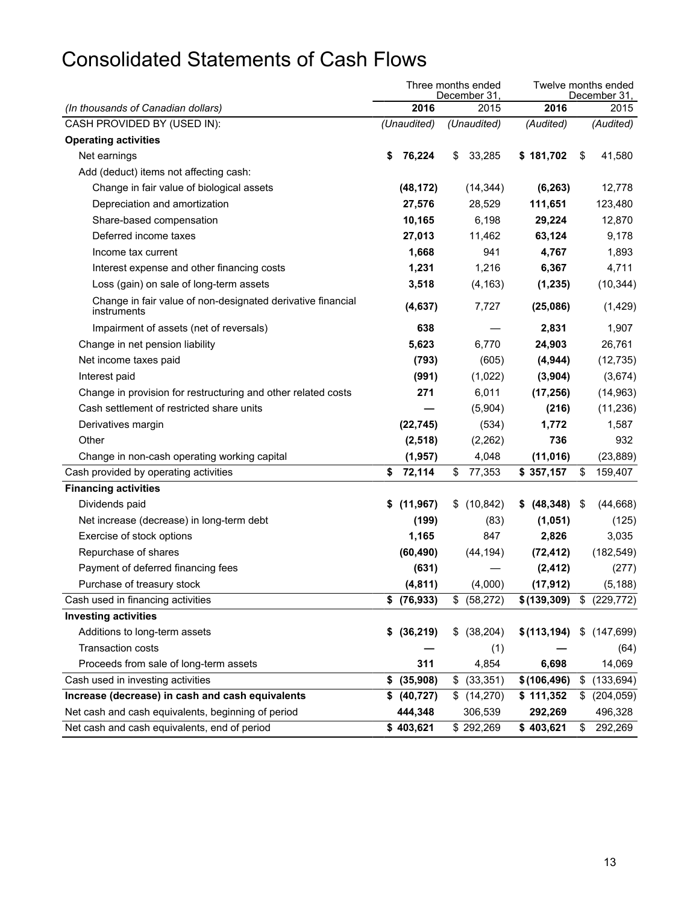## Consolidated Statements of Cash Flows

|                                                                            |                 | Three months ended<br>December 31, | Twelve months ended<br>December 31, |      |              |    |            |  |  |
|----------------------------------------------------------------------------|-----------------|------------------------------------|-------------------------------------|------|--------------|----|------------|--|--|
| (In thousands of Canadian dollars)                                         | 2016            |                                    | 2015                                | 2016 |              |    | 2015       |  |  |
| CASH PROVIDED BY (USED IN):                                                | (Unaudited)     |                                    | (Unaudited)                         |      | (Audited)    |    | (Audited)  |  |  |
| <b>Operating activities</b>                                                |                 |                                    |                                     |      |              |    |            |  |  |
| Net earnings                                                               | \$<br>76,224    | S.                                 | 33,285                              |      | \$181,702    | \$ | 41,580     |  |  |
| Add (deduct) items not affecting cash:                                     |                 |                                    |                                     |      |              |    |            |  |  |
| Change in fair value of biological assets                                  | (48, 172)       |                                    | (14, 344)                           |      | (6, 263)     |    | 12,778     |  |  |
| Depreciation and amortization                                              | 27,576          |                                    | 28,529                              |      | 111,651      |    | 123,480    |  |  |
| Share-based compensation                                                   | 10,165          |                                    | 6,198                               |      | 29,224       |    | 12,870     |  |  |
| Deferred income taxes                                                      | 27,013          |                                    | 11,462                              |      | 63,124       |    | 9,178      |  |  |
| Income tax current                                                         | 1,668           |                                    | 941                                 |      | 4,767        |    | 1,893      |  |  |
| Interest expense and other financing costs                                 | 1,231           |                                    | 1,216                               |      | 6,367        |    | 4,711      |  |  |
| Loss (gain) on sale of long-term assets                                    | 3,518           |                                    | (4, 163)                            |      | (1, 235)     |    | (10, 344)  |  |  |
| Change in fair value of non-designated derivative financial<br>instruments | (4,637)         |                                    | 7,727                               |      | (25,086)     |    | (1,429)    |  |  |
| Impairment of assets (net of reversals)                                    | 638             |                                    |                                     |      | 2,831        |    | 1,907      |  |  |
| Change in net pension liability                                            | 5,623           |                                    | 6,770                               |      | 24,903       |    | 26,761     |  |  |
| Net income taxes paid                                                      | (793)           |                                    | (605)                               |      | (4, 944)     |    | (12, 735)  |  |  |
| Interest paid                                                              | (991)           |                                    | (1,022)                             |      | (3,904)      |    | (3,674)    |  |  |
| Change in provision for restructuring and other related costs              | 271             |                                    | 6,011                               |      | (17, 256)    |    | (14, 963)  |  |  |
| Cash settlement of restricted share units                                  |                 |                                    | (5,904)                             |      | (216)        |    | (11, 236)  |  |  |
| Derivatives margin                                                         | (22, 745)       |                                    | (534)                               |      | 1,772        |    | 1,587      |  |  |
| Other                                                                      | (2, 518)        |                                    | (2,262)                             |      | 736          |    | 932        |  |  |
| Change in non-cash operating working capital                               | (1, 957)        |                                    | 4,048                               |      | (11, 016)    |    | (23, 889)  |  |  |
| Cash provided by operating activities                                      | \$<br>72,114    | \$                                 | 77,353                              |      | \$357,157    | \$ | 159,407    |  |  |
| <b>Financing activities</b>                                                |                 |                                    |                                     |      |              |    |            |  |  |
| Dividends paid                                                             | \$<br>(11, 967) | \$                                 | (10, 842)                           | \$   | (48, 348)    | \$ | (44, 668)  |  |  |
| Net increase (decrease) in long-term debt                                  | (199)           |                                    | (83)                                |      | (1,051)      |    | (125)      |  |  |
| Exercise of stock options                                                  | 1,165           |                                    | 847                                 |      | 2,826        |    | 3,035      |  |  |
| Repurchase of shares                                                       | (60, 490)       |                                    | (44, 194)                           |      | (72, 412)    |    | (182, 549) |  |  |
| Payment of deferred financing fees                                         | (631)           |                                    |                                     |      | (2, 412)     |    | (277)      |  |  |
| Purchase of treasury stock                                                 | (4,811)         |                                    | (4,000)                             |      | (17, 912)    |    | (5, 188)   |  |  |
| Cash used in financing activities                                          | \$ (76,933)     | \$                                 | (58, 272)                           |      | \$(139, 309) | \$ | (229, 772) |  |  |
| <b>Investing activities</b>                                                |                 |                                    |                                     |      |              |    |            |  |  |
| Additions to long-term assets                                              | \$ (36,219)     |                                    | \$ (38, 204)                        |      | \$(113, 194) | \$ | (147, 699) |  |  |
| Transaction costs                                                          |                 |                                    | (1)                                 |      |              |    | (64)       |  |  |
| Proceeds from sale of long-term assets                                     | 311             |                                    | 4,854                               |      | 6,698        |    | 14,069     |  |  |
| Cash used in investing activities                                          | \$<br>(35,908)  | \$                                 | (33, 351)                           |      | \$(106, 496) | \$ | (133, 694) |  |  |
| Increase (decrease) in cash and cash equivalents                           | \$ (40,727)     |                                    | \$(14,270)                          |      | \$111,352    | \$ | (204, 059) |  |  |
| Net cash and cash equivalents, beginning of period                         | 444,348         |                                    | 306,539                             |      | 292,269      |    | 496,328    |  |  |
| Net cash and cash equivalents, end of period                               | \$403,621       |                                    | \$292,269                           |      | \$403,621    | \$ | 292,269    |  |  |